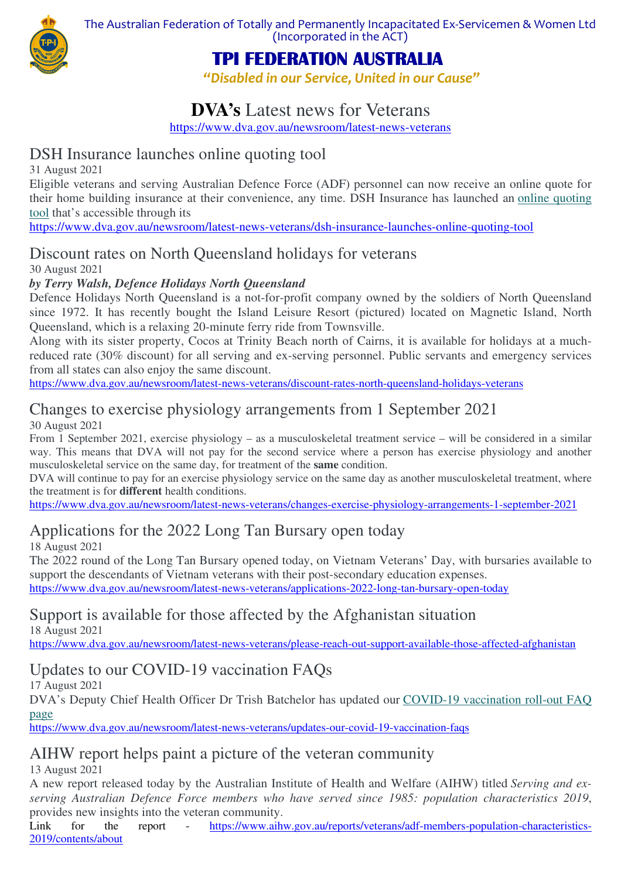

The Australian Federation of Totally and Permanently Incapacitated Ex-Servicemen & Women Ltd (Incorporated in the ACT)

# *TPI FEDERATION AUSTRALIA*

*"Disabled in our Service, United in our Cause"*

## **DVA's** Latest news for Veterans

https://www.dva.gov.au/newsroom/latest-news-veterans

### DSH Insurance launches online quoting tool

31 August 2021

Eligible veterans and serving Australian Defence Force (ADF) personnel can now receive an online quote for their home building insurance at their convenience, any time. DSH Insurance has launched an online quoting tool that's accessible through its

https://www.dva.gov.au/newsroom/latest-news-veterans/dsh-insurance-launches-online-quoting-tool

### Discount rates on North Queensland holidays for veterans

30 August 2021

#### *by Terry Walsh, Defence Holidays North Queensland*

Defence Holidays North Queensland is a not-for-profit company owned by the soldiers of North Queensland since 1972. It has recently bought the Island Leisure Resort (pictured) located on Magnetic Island, North Queensland, which is a relaxing 20-minute ferry ride from Townsville.

Along with its sister property, Cocos at Trinity Beach north of Cairns, it is available for holidays at a muchreduced rate (30% discount) for all serving and ex-serving personnel. Public servants and emergency services from all states can also enjoy the same discount.

https://www.dva.gov.au/newsroom/latest-news-veterans/discount-rates-north-queensland-holidays-veterans

## Changes to exercise physiology arrangements from 1 September 2021

30 August 2021

From 1 September 2021, exercise physiology – as a musculoskeletal treatment service – will be considered in a similar way. This means that DVA will not pay for the second service where a person has exercise physiology and another musculoskeletal service on the same day, for treatment of the **same** condition.

DVA will continue to pay for an exercise physiology service on the same day as another musculoskeletal treatment, where the treatment is for **different** health conditions.

https://www.dva.gov.au/newsroom/latest-news-veterans/changes-exercise-physiology-arrangements-1-september-2021

## Applications for the 2022 Long Tan Bursary open today

18 August 2021

The 2022 round of the Long Tan Bursary opened today, on Vietnam Veterans' Day, with bursaries available to support the descendants of Vietnam veterans with their post-secondary education expenses.

https://www.dva.gov.au/newsroom/latest-news-veterans/applications-2022-long-tan-bursary-open-today

## Support is available for those affected by the Afghanistan situation

18 August 2021

https://www.dva.gov.au/newsroom/latest-news-veterans/please-reach-out-support-available-those-affected-afghanistan

# Updates to our COVID-19 vaccination FAQs

17 August 2021

DVA's Deputy Chief Health Officer Dr Trish Batchelor has updated our COVID-19 vaccination roll-out FAQ page

https://www.dva.gov.au/newsroom/latest-news-veterans/updates-our-covid-19-vaccination-faqs

### AIHW report helps paint a picture of the veteran community

13 August 2021

A new report released today by the Australian Institute of Health and Welfare (AIHW) titled *Serving and exserving Australian Defence Force members who have served since 1985: population characteristics 2019*, provides new insights into the veteran community.

Link for the report - https://www.aihw.gov.au/reports/veterans/adf-members-population-characteristics-2019/contents/about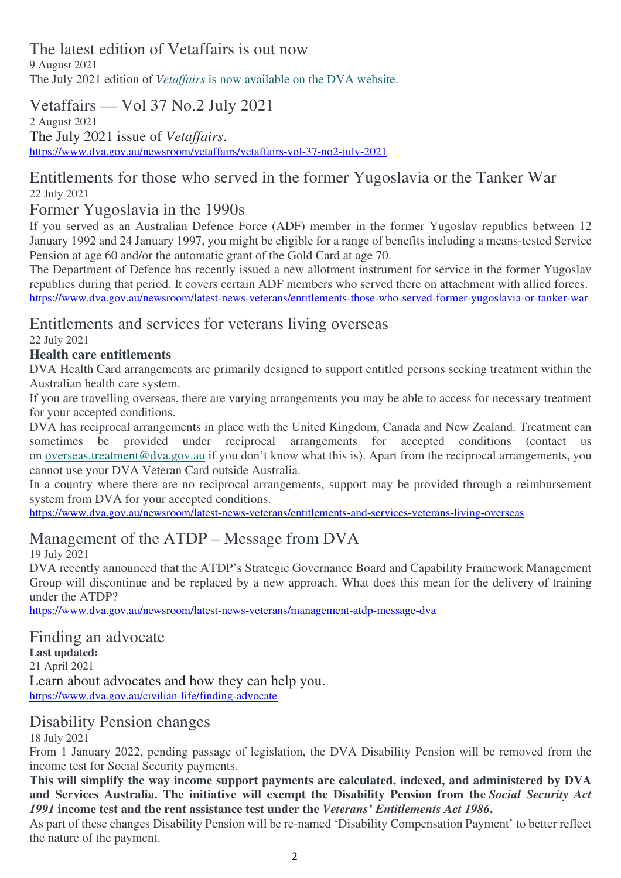The latest edition of Vetaffairs is out now

9 August 2021 The July 2021 edition of *Vetaffairs* is now available on the DVA website.

## Vetaffairs — Vol 37 No.2 July 2021

2 August 2021 The July 2021 issue of *Vetaffairs*. https://www.dva.gov.au/newsroom/vetaffairs/vetaffairs-vol-37-no2-july-2021

### Entitlements for those who served in the former Yugoslavia or the Tanker War 22 July 2021

#### Former Yugoslavia in the 1990s

If you served as an Australian Defence Force (ADF) member in the former Yugoslav republics between 12 January 1992 and 24 January 1997, you might be eligible for a range of benefits including a means-tested Service Pension at age 60 and/or the automatic grant of the Gold Card at age 70.

The Department of Defence has recently issued a new allotment instrument for service in the former Yugoslav republics during that period. It covers certain ADF members who served there on attachment with allied forces. https://www.dva.gov.au/newsroom/latest-news-veterans/entitlements-those-who-served-former-yugoslavia-or-tanker-war

# Entitlements and services for veterans living overseas

22 July 2021

#### **Health care entitlements**

DVA Health Card arrangements are primarily designed to support entitled persons seeking treatment within the Australian health care system.

If you are travelling overseas, there are varying arrangements you may be able to access for necessary treatment for your accepted conditions.

DVA has reciprocal arrangements in place with the United Kingdom, Canada and New Zealand. Treatment can sometimes be provided under reciprocal arrangements for accepted conditions (contact us on overseas.treatment@dva.gov.au if you don't know what this is). Apart from the reciprocal arrangements, you cannot use your DVA Veteran Card outside Australia.

In a country where there are no reciprocal arrangements, support may be provided through a reimbursement system from DVA for your accepted conditions.

https://www.dva.gov.au/newsroom/latest-news-veterans/entitlements-and-services-veterans-living-overseas

## Management of the ATDP – Message from DVA

19 July 2021

DVA recently announced that the ATDP's Strategic Governance Board and Capability Framework Management Group will discontinue and be replaced by a new approach. What does this mean for the delivery of training under the ATDP?

https://www.dva.gov.au/newsroom/latest-news-veterans/management-atdp-message-dva

# Finding an advocate

**Last updated:** 21 April 2021 Learn about advocates and how they can help you. https://www.dva.gov.au/civilian-life/finding-advocate

## Disability Pension changes

18 July 2021

From 1 January 2022, pending passage of legislation, the DVA Disability Pension will be removed from the income test for Social Security payments.

**This will simplify the way income support payments are calculated, indexed, and administered by DVA and Services Australia. The initiative will exempt the Disability Pension from the** *Social Security Act 1991* **income test and the rent assistance test under the** *Veterans' Entitlements Act 1986***.**

As part of these changes Disability Pension will be re-named 'Disability Compensation Payment' to better reflect the nature of the payment.